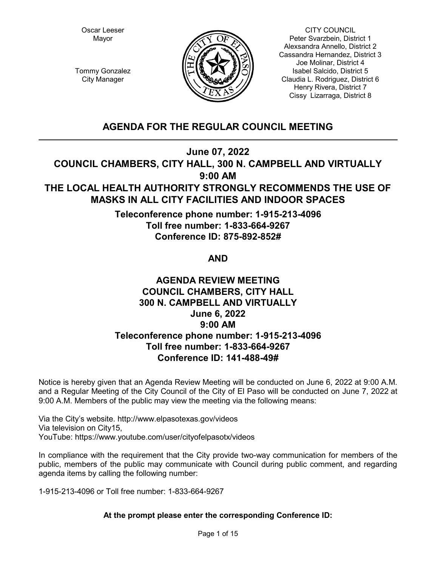Oscar Leeser Mayor



CITY COUNCIL Peter Svarzbein, District 1 Alexsandra Annello, District 2 Cassandra Hernandez, District 3 Joe Molinar, District 4 Isabel Salcido, District 5 Claudia L. Rodriguez, District 6 Henry Rivera, District 7 Cissy Lizarraga, District 8

Tommy Gonzalez City Manager

# **AGENDA FOR THE REGULAR COUNCIL MEETING**

**June 07, 2022**

**COUNCIL CHAMBERS, CITY HALL, 300 N. CAMPBELL AND VIRTUALLY 9:00 AM**

# **THE LOCAL HEALTH AUTHORITY STRONGLY RECOMMENDS THE USE OF MASKS IN ALL CITY FACILITIES AND INDOOR SPACES**

**Teleconference phone number: 1-915-213-4096 Toll free number: 1-833-664-9267 Conference ID: 875-892-852#** 

# **AND**

# **AGENDA REVIEW MEETING COUNCIL CHAMBERS, CITY HALL 300 N. CAMPBELL AND VIRTUALLY June 6, 2022 9:00 AM Teleconference phone number: 1-915-213-4096 Toll free number: 1-833-664-9267 Conference ID: 141-488-49#**

Notice is hereby given that an Agenda Review Meeting will be conducted on June 6, 2022 at 9:00 A.M. and a Regular Meeting of the City Council of the City of El Paso will be conducted on June 7, 2022 at 9:00 A.M. Members of the public may view the meeting via the following means:

Via the City's website. http://www.elpasotexas.gov/videos Via television on City15, YouTube: https://www.youtube.com/user/cityofelpasotx/videos

In compliance with the requirement that the City provide two-way communication for members of the public, members of the public may communicate with Council during public comment, and regarding agenda items by calling the following number:

1-915-213-4096 or Toll free number: 1-833-664-9267

# **At the prompt please enter the corresponding Conference ID:**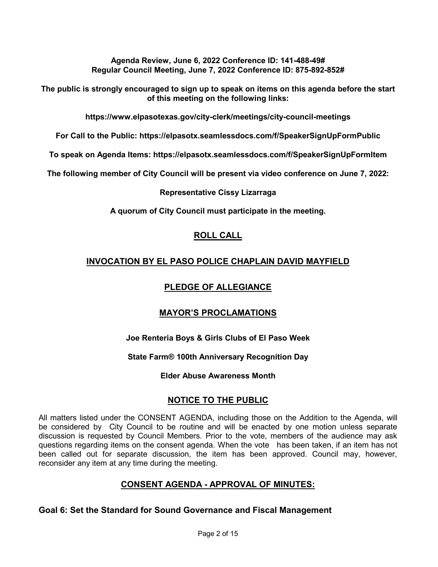**Agenda Review, June 6, 2022 Conference ID: 141-488-49# Regular Council Meeting, June 7, 2022 Conference ID: 875-892-852#** 

**The public is strongly encouraged to sign up to speak on items on this agenda before the start of this meeting on the following links:**

**https://www.elpasotexas.gov/city-clerk/meetings/city-council-meetings**

**For Call to the Public: https://elpasotx.seamlessdocs.com/f/SpeakerSignUpFormPublic**

**To speak on Agenda Items: https://elpasotx.seamlessdocs.com/f/SpeakerSignUpFormItem**

**The following member of City Council will be present via video conference on June 7, 2022:**

# **Representative Cissy Lizarraga**

**A quorum of City Council must participate in the meeting.**

# **ROLL CALL**

# **INVOCATION BY EL PASO POLICE CHAPLAIN DAVID MAYFIELD**

# **PLEDGE OF ALLEGIANCE**

# **MAYOR'S PROCLAMATIONS**

# **Joe Renteria Boys & Girls Clubs of El Paso Week**

# **State Farm® 100th Anniversary Recognition Day**

**Elder Abuse Awareness Month**

# **NOTICE TO THE PUBLIC**

All matters listed under the CONSENT AGENDA, including those on the Addition to the Agenda, will be considered by City Council to be routine and will be enacted by one motion unless separate discussion is requested by Council Members. Prior to the vote, members of the audience may ask questions regarding items on the consent agenda. When the vote has been taken, if an item has not been called out for separate discussion, the item has been approved. Council may, however, reconsider any item at any time during the meeting.

# **CONSENT AGENDA - APPROVAL OF MINUTES:**

**Goal 6: Set the Standard for Sound Governance and Fiscal Management**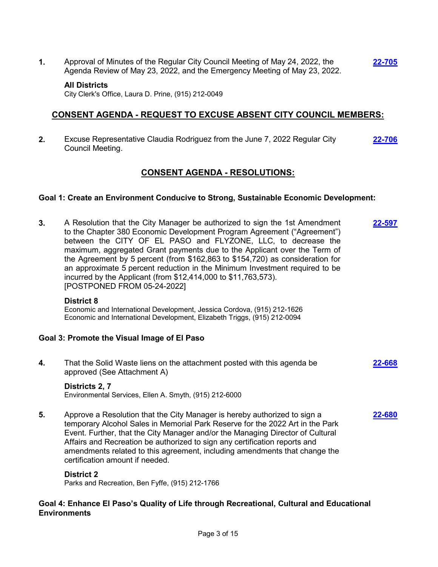**1.** Approval of Minutes of the Regular City Council Meeting of May 24, 2022, the Agenda Review of May 23, 2022, and the Emergency Meeting of May 23, 2022. **[22-705](http://elpasotexas.legistar.com/gateway.aspx?m=l&id=/matter.aspx?key=7168)**

### **All Districts**

City Clerk's Office, Laura D. Prine, (915) 212-0049

# **CONSENT AGENDA - REQUEST TO EXCUSE ABSENT CITY COUNCIL MEMBERS:**

**2.** Excuse Representative Claudia Rodriguez from the June 7, 2022 Regular City Council Meeting. **[22-706](http://elpasotexas.legistar.com/gateway.aspx?m=l&id=/matter.aspx?key=7169)**

# **CONSENT AGENDA - RESOLUTIONS:**

### **Goal 1: Create an Environment Conducive to Strong, Sustainable Economic Development:**

**3.** A Resolution that the City Manager be authorized to sign the 1st Amendment to the Chapter 380 Economic Development Program Agreement ("Agreement") between the CITY OF EL PASO and FLYZONE, LLC, to decrease the maximum, aggregated Grant payments due to the Applicant over the Term of the Agreement by 5 percent (from \$162,863 to \$154,720) as consideration for an approximate 5 percent reduction in the Minimum Investment required to be incurred by the Applicant (from \$12,414,000 to \$11,763,573). [POSTPONED FROM 05-24-2022] **[22-597](http://elpasotexas.legistar.com/gateway.aspx?m=l&id=/matter.aspx?key=7061)**

#### **District 8**

Economic and International Development, Jessica Cordova, (915) 212-1626 Economic and International Development, Elizabeth Triggs, (915) 212-0094

### **Goal 3: Promote the Visual Image of El Paso**

**4.** That the Solid Waste liens on the attachment posted with this agenda be approved (See Attachment A) **[22-668](http://elpasotexas.legistar.com/gateway.aspx?m=l&id=/matter.aspx?key=7131)**

### **Districts 2, 7**

Environmental Services, Ellen A. Smyth, (915) 212-6000

**5.** Approve a Resolution that the City Manager is hereby authorized to sign a temporary Alcohol Sales in Memorial Park Reserve for the 2022 Art in the Park Event. Further, that the City Manager and/or the Managing Director of Cultural Affairs and Recreation be authorized to sign any certification reports and amendments related to this agreement, including amendments that change the certification amount if needed. **[22-680](http://elpasotexas.legistar.com/gateway.aspx?m=l&id=/matter.aspx?key=7143)**

### **District 2**

Parks and Recreation, Ben Fyffe, (915) 212-1766

### **Goal 4: Enhance El Paso's Quality of Life through Recreational, Cultural and Educational Environments**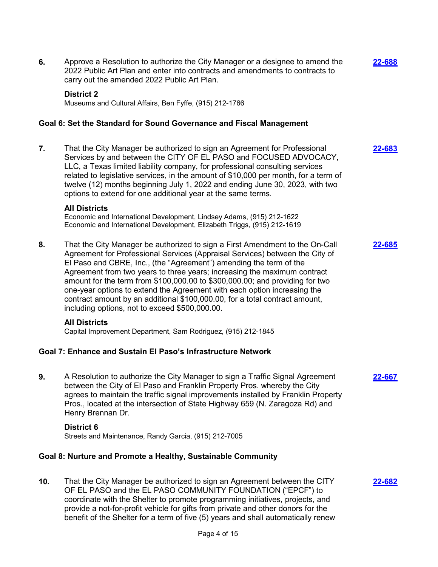**6.** Approve a Resolution to authorize the City Manager or a designee to amend the 2022 Public Art Plan and enter into contracts and amendments to contracts to carry out the amended 2022 Public Art Plan. **[22-688](http://elpasotexas.legistar.com/gateway.aspx?m=l&id=/matter.aspx?key=7151) District 2** Museums and Cultural Affairs, Ben Fyffe, (915) 212-1766 **Goal 6: Set the Standard for Sound Governance and Fiscal Management 7.** That the City Manager be authorized to sign an Agreement for Professional Services by and between the CITY OF EL PASO and FOCUSED ADVOCACY, LLC, a Texas limited liability company, for professional consulting services related to legislative services, in the amount of \$10,000 per month, for a term of twelve (12) months beginning July 1, 2022 and ending June 30, 2023, with two options to extend for one additional year at the same terms. **[22-683](http://elpasotexas.legistar.com/gateway.aspx?m=l&id=/matter.aspx?key=7146) All Districts** Economic and International Development, Lindsey Adams, (915) 212-1622 Economic and International Development, Elizabeth Triggs, (915) 212-1619 **8.** That the City Manager be authorized to sign a First Amendment to the On-Call Agreement for Professional Services (Appraisal Services) between the City of El Paso and CBRE, Inc., (the "Agreement") amending the term of the Agreement from two years to three years; increasing the maximum contract amount for the term from \$100,000.00 to \$300,000.00; and providing for two one-year options to extend the Agreement with each option increasing the contract amount by an additional \$100,000.00, for a total contract amount, including options, not to exceed \$500,000.00. **[22-685](http://elpasotexas.legistar.com/gateway.aspx?m=l&id=/matter.aspx?key=7148) All Districts** Capital Improvement Department, Sam Rodriguez, (915) 212-1845 **Goal 7: Enhance and Sustain El Paso's Infrastructure Network 9.** A Resolution to authorize the City Manager to sign a Traffic Signal Agreement between the City of El Paso and Franklin Property Pros. whereby the City agrees to maintain the traffic signal improvements installed by Franklin Property Pros., located at the intersection of State Highway 659 (N. Zaragoza Rd) and Henry Brennan Dr. **[22-667](http://elpasotexas.legistar.com/gateway.aspx?m=l&id=/matter.aspx?key=7130) District 6** Streets and Maintenance, Randy Garcia, (915) 212-7005 **Goal 8: Nurture and Promote a Healthy, Sustainable Community 10.** That the City Manager be authorized to sign an Agreement between the CITY OF EL PASO and the EL PASO COMMUNITY FOUNDATION ("EPCF") to coordinate with the Shelter to promote programming initiatives, projects, and provide a not-for-profit vehicle for gifts from private and other donors for the benefit of the Shelter for a term of five (5) years and shall automatically renew **[22-682](http://elpasotexas.legistar.com/gateway.aspx?m=l&id=/matter.aspx?key=7145)**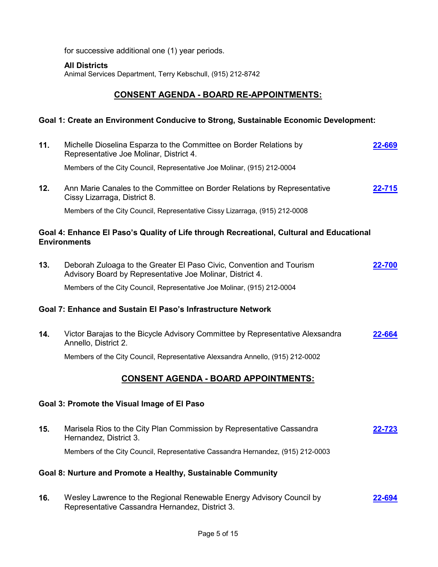for successive additional one (1) year periods.

### **All Districts**

Animal Services Department, Terry Kebschull, (915) 212-8742

# **CONSENT AGENDA - BOARD RE-APPOINTMENTS:**

# **Goal 1: Create an Environment Conducive to Strong, Sustainable Economic Development:**

| 11.                                                          | Michelle Dioselina Esparza to the Committee on Border Relations by<br>Representative Joe Molinar, District 4.                     | 22-669         |  |  |
|--------------------------------------------------------------|-----------------------------------------------------------------------------------------------------------------------------------|----------------|--|--|
|                                                              | Members of the City Council, Representative Joe Molinar, (915) 212-0004                                                           |                |  |  |
| 12.                                                          | Ann Marie Canales to the Committee on Border Relations by Representative<br>Cissy Lizarraga, District 8.                          | 22-715         |  |  |
|                                                              | Members of the City Council, Representative Cissy Lizarraga, (915) 212-0008                                                       |                |  |  |
|                                                              | Goal 4: Enhance El Paso's Quality of Life through Recreational, Cultural and Educational<br><b>Environments</b>                   |                |  |  |
| 13.                                                          | Deborah Zuloaga to the Greater El Paso Civic, Convention and Tourism<br>Advisory Board by Representative Joe Molinar, District 4. | 22-700         |  |  |
|                                                              | Members of the City Council, Representative Joe Molinar, (915) 212-0004                                                           |                |  |  |
| Goal 7: Enhance and Sustain El Paso's Infrastructure Network |                                                                                                                                   |                |  |  |
| 14.                                                          | Victor Barajas to the Bicycle Advisory Committee by Representative Alexsandra<br>Annello, District 2.                             | 22-664         |  |  |
|                                                              | Members of the City Council, Representative Alexsandra Annello, (915) 212-0002                                                    |                |  |  |
|                                                              | <u>CONSENT AGENDA - BOARD APPOINTMENTS:</u>                                                                                       |                |  |  |
|                                                              | Goal 3: Promote the Visual Image of El Paso                                                                                       |                |  |  |
| 15.                                                          | Marisela Rios to the City Plan Commission by Representative Cassandra<br>Hernandez, District 3.                                   | 22-723         |  |  |
|                                                              | Members of the City Council, Representative Cassandra Hernandez, (915) 212-0003                                                   |                |  |  |
|                                                              | Goal 8: Nurture and Promote a Healthy, Sustainable Community                                                                      |                |  |  |
| 16.                                                          | Wesley Lawrence to the Regional Renewable Energy Advisory Council by<br>Representative Cassandra Hernandez, District 3.           | <u>2-694 ?</u> |  |  |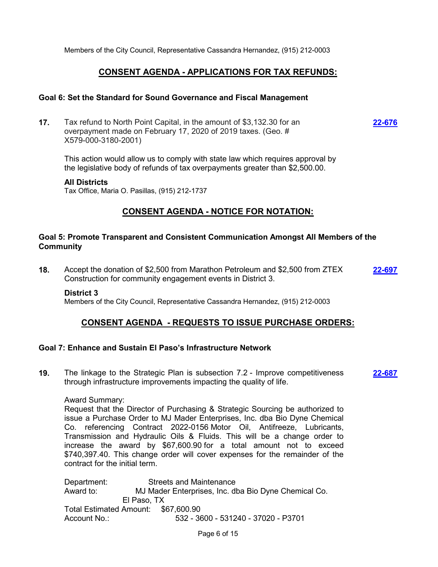Members of the City Council, Representative Cassandra Hernandez, (915) 212-0003

# **CONSENT AGENDA - APPLICATIONS FOR TAX REFUNDS:**

### **Goal 6: Set the Standard for Sound Governance and Fiscal Management**

**17.** Tax refund to North Point Capital, in the amount of \$3,132.30 for an overpayment made on February 17, 2020 of 2019 taxes. (Geo. # X579-000-3180-2001) **[22-676](http://elpasotexas.legistar.com/gateway.aspx?m=l&id=/matter.aspx?key=7139)**

This action would allow us to comply with state law which requires approval by the legislative body of refunds of tax overpayments greater than \$2,500.00.

#### **All Districts**

Tax Office, Maria O. Pasillas, (915) 212-1737

# **CONSENT AGENDA - NOTICE FOR NOTATION:**

### **Goal 5: Promote Transparent and Consistent Communication Amongst All Members of the Community**

**18.** Accept the donation of \$2,500 from Marathon Petroleum and \$2,500 from ZTEX Construction for community engagement events in District 3. **[22-697](http://elpasotexas.legistar.com/gateway.aspx?m=l&id=/matter.aspx?key=7160)**

### **District 3**

Members of the City Council, Representative Cassandra Hernandez, (915) 212-0003

# **CONSENT AGENDA - REQUESTS TO ISSUE PURCHASE ORDERS:**

### **Goal 7: Enhance and Sustain El Paso's Infrastructure Network**

**19.** The linkage to the Strategic Plan is subsection 7.2 - Improve competitiveness through infrastructure improvements impacting the quality of life. **[22-687](http://elpasotexas.legistar.com/gateway.aspx?m=l&id=/matter.aspx?key=7150)**

### Award Summary:

Request that the Director of Purchasing & Strategic Sourcing be authorized to issue a Purchase Order to MJ Mader Enterprises, Inc. dba Bio Dyne Chemical Co. referencing Contract 2022-0156 Motor Oil, Antifreeze, Lubricants, Transmission and Hydraulic Oils & Fluids. This will be a change order to increase the award by \$67,600.90 for a total amount not to exceed \$740,397.40. This change order will cover expenses for the remainder of the contract for the initial term.

Department: Streets and Maintenance Award to: MJ Mader Enterprises, Inc. dba Bio Dyne Chemical Co. El Paso, TX Total Estimated Amount: \$67,600.90 Account No.: 532 - 3600 - 531240 - 37020 - P3701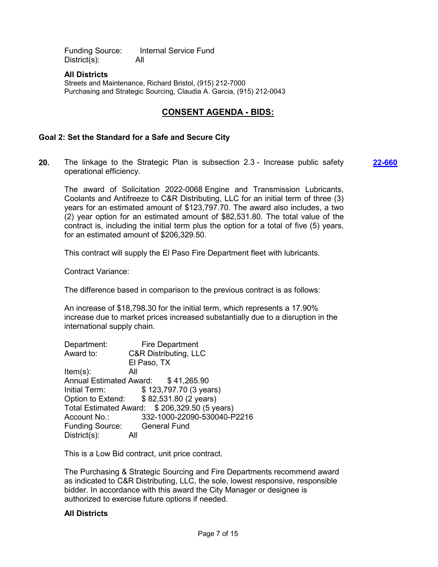Funding Source: Internal Service Fund District(s): All

### **All Districts**

Streets and Maintenance, Richard Bristol, (915) 212-7000 Purchasing and Strategic Sourcing, Claudia A. Garcia, (915) 212-0043

# **CONSENT AGENDA - BIDS:**

### **Goal 2: Set the Standard for a Safe and Secure City**

**20.** The linkage to the Strategic Plan is subsection 2.3 - Increase public safety operational efficiency. **[22-660](http://elpasotexas.legistar.com/gateway.aspx?m=l&id=/matter.aspx?key=7123)**

The award of Solicitation 2022-0068 Engine and Transmission Lubricants, Coolants and Antifreeze to C&R Distributing, LLC for an initial term of three (3) years for an estimated amount of \$123,797.70. The award also includes, a two (2) year option for an estimated amount of \$82,531.80. The total value of the contract is, including the initial term plus the option for a total of five (5) years, for an estimated amount of \$206,329.50.

This contract will supply the El Paso Fire Department fleet with lubricants.

Contract Variance:

The difference based in comparison to the previous contract is as follows:

An increase of \$18,798.30 for the initial term, which represents a 17.90% increase due to market prices increased substantially due to a disruption in the international supply chain.

| Department:            | <b>Fire Department</b>                        |
|------------------------|-----------------------------------------------|
| Award to:              | <b>C&amp;R Distributing, LLC</b>              |
|                        | El Paso, TX                                   |
| $Item(s)$ :            | All                                           |
|                        | Annual Estimated Award: \$41,265.90           |
| Initial Term:          | \$123,797.70 (3 years)                        |
|                        | Option to Extend: \$82,531.80 (2 years)       |
|                        | Total Estimated Award: \$206,329.50 (5 years) |
| Account No.:           | 332-1000-22090-530040-P2216                   |
| <b>Funding Source:</b> | <b>General Fund</b>                           |
| $Distribt(s)$ :        | All                                           |

This is a Low Bid contract, unit price contract.

The Purchasing & Strategic Sourcing and Fire Departments recommend award as indicated to C&R Distributing, LLC, the sole, lowest responsive, responsible bidder. In accordance with this award the City Manager or designee is authorized to exercise future options if needed.

### **All Districts**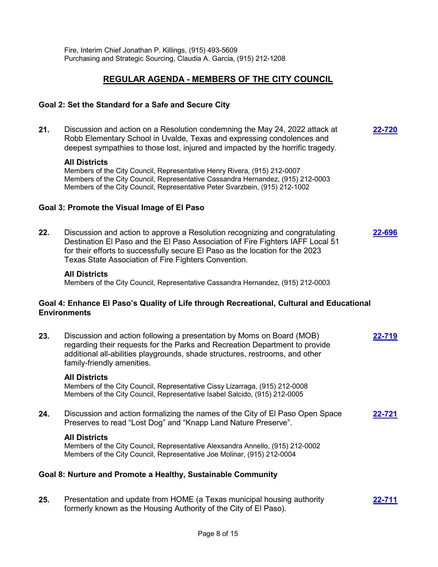Fire, Interim Chief Jonathan P. Killings, (915) 493-5609 Purchasing and Strategic Sourcing, Claudia A. Garcia, (915) 212-1208

# **REGULAR AGENDA - MEMBERS OF THE CITY COUNCIL**

### **Goal 2: Set the Standard for a Safe and Secure City**

**21.** Discussion and action on a Resolution condemning the May 24, 2022 attack at Robb Elementary School in Uvalde, Texas and expressing condolences and deepest sympathies to those lost, injured and impacted by the horrific tragedy. **[22-720](http://elpasotexas.legistar.com/gateway.aspx?m=l&id=/matter.aspx?key=7183)**

#### **All Districts**

Members of the City Council, Representative Henry Rivera, (915) 212-0007 Members of the City Council, Representative Cassandra Hernandez, (915) 212-0003 Members of the City Council, Representative Peter Svarzbein, (915) 212-1002

#### **Goal 3: Promote the Visual Image of El Paso**

**22.** Discussion and action to approve a Resolution recognizing and congratulating Destination El Paso and the El Paso Association of Fire Fighters IAFF Local 51 for their efforts to successfully secure El Paso as the location for the 2023 Texas State Association of Fire Fighters Convention. **[22-696](http://elpasotexas.legistar.com/gateway.aspx?m=l&id=/matter.aspx?key=7159)**

#### **All Districts**

Members of the City Council, Representative Cassandra Hernandez, (915) 212-0003

### **Goal 4: Enhance El Paso's Quality of Life through Recreational, Cultural and Educational Environments**

**23.** Discussion and action following a presentation by Moms on Board (MOB) regarding their requests for the Parks and Recreation Department to provide additional all-abilities playgrounds, shade structures, restrooms, and other family-friendly amenities. **[22-719](http://elpasotexas.legistar.com/gateway.aspx?m=l&id=/matter.aspx?key=7182)**

#### **All Districts**

Members of the City Council, Representative Cissy Lizarraga, (915) 212-0008 Members of the City Council, Representative Isabel Salcido, (915) 212-0005

**24.** Discussion and action formalizing the names of the City of El Paso Open Space Preserves to read "Lost Dog" and "Knapp Land Nature Preserve". **[22-721](http://elpasotexas.legistar.com/gateway.aspx?m=l&id=/matter.aspx?key=7184)**

#### **All Districts**

Members of the City Council, Representative Alexsandra Annello, (915) 212-0002 Members of the City Council, Representative Joe Molinar, (915) 212-0004

### **Goal 8: Nurture and Promote a Healthy, Sustainable Community**

**25.** Presentation and update from HOME (a Texas municipal housing authority formerly known as the Housing Authority of the City of El Paso). **[22-711](http://elpasotexas.legistar.com/gateway.aspx?m=l&id=/matter.aspx?key=7174)**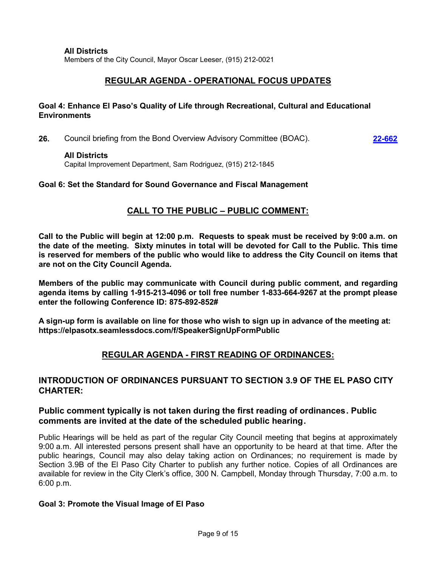### **All Districts**

Members of the City Council, Mayor Oscar Leeser, (915) 212-0021

# **REGULAR AGENDA - OPERATIONAL FOCUS UPDATES**

# **Goal 4: Enhance El Paso's Quality of Life through Recreational, Cultural and Educational Environments**

**26.** Council briefing from the Bond Overview Advisory Committee (BOAC). **[22-662](http://elpasotexas.legistar.com/gateway.aspx?m=l&id=/matter.aspx?key=7125)**

### **All Districts**

Capital Improvement Department, Sam Rodriguez, (915) 212-1845

# **Goal 6: Set the Standard for Sound Governance and Fiscal Management**

# **CALL TO THE PUBLIC – PUBLIC COMMENT:**

**Call to the Public will begin at 12:00 p.m. Requests to speak must be received by 9:00 a.m. on the date of the meeting. Sixty minutes in total will be devoted for Call to the Public. This time is reserved for members of the public who would like to address the City Council on items that are not on the City Council Agenda.**

**Members of the public may communicate with Council during public comment, and regarding agenda items by calling 1-915-213-4096 or toll free number 1-833-664-9267 at the prompt please enter the following Conference ID: 875-892-852#** 

**A sign-up form is available on line for those who wish to sign up in advance of the meeting at: https://elpasotx.seamlessdocs.com/f/SpeakerSignUpFormPublic**

# **REGULAR AGENDA - FIRST READING OF ORDINANCES:**

# **INTRODUCTION OF ORDINANCES PURSUANT TO SECTION 3.9 OF THE EL PASO CITY CHARTER:**

# **Public comment typically is not taken during the first reading of ordinances. Public comments are invited at the date of the scheduled public hearing.**

Public Hearings will be held as part of the regular City Council meeting that begins at approximately 9:00 a.m. All interested persons present shall have an opportunity to be heard at that time. After the public hearings, Council may also delay taking action on Ordinances; no requirement is made by Section 3.9B of the El Paso City Charter to publish any further notice. Copies of all Ordinances are available for review in the City Clerk's office, 300 N. Campbell, Monday through Thursday, 7:00 a.m. to 6:00 p.m.

# **Goal 3: Promote the Visual Image of El Paso**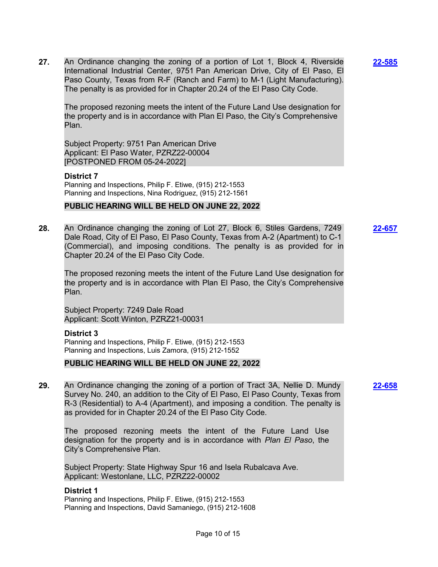**27.** An Ordinance changing the zoning of a portion of Lot 1, Block 4, Riverside International Industrial Center, 9751 Pan American Drive, City of El Paso, El Paso County, Texas from R-F (Ranch and Farm) to M-1 (Light Manufacturing). The penalty is as provided for in Chapter 20.24 of the El Paso City Code.

The proposed rezoning meets the intent of the Future Land Use designation for the property and is in accordance with Plan El Paso, the City's Comprehensive Plan.

Subject Property: 9751 Pan American Drive Applicant: El Paso Water, PZRZ22-00004 [POSTPONED FROM 05-24-2022]

#### **District 7**

Planning and Inspections, Philip F. Etiwe, (915) 212-1553 Planning and Inspections, Nina Rodriguez, (915) 212-1561

#### **PUBLIC HEARING WILL BE HELD ON JUNE 22, 2022**

**28.** An Ordinance changing the zoning of Lot 27, Block 6, Stiles Gardens, 7249 Dale Road, City of El Paso, El Paso County, Texas from A-2 (Apartment) to C-1 (Commercial), and imposing conditions. The penalty is as provided for in Chapter 20.24 of the El Paso City Code.

The proposed rezoning meets the intent of the Future Land Use designation for the property and is in accordance with Plan El Paso, the City's Comprehensive Plan.

Subject Property: 7249 Dale Road Applicant: Scott Winton, PZRZ21-00031

#### **District 3**

Planning and Inspections, Philip F. Etiwe, (915) 212-1553 Planning and Inspections, Luis Zamora, (915) 212-1552

### **PUBLIC HEARING WILL BE HELD ON JUNE 22, 2022**

**29.** An Ordinance changing the zoning of a portion of Tract 3A, Nellie D. Mundy Survey No. 240, an addition to the City of El Paso, El Paso County, Texas from R-3 (Residential) to A-4 (Apartment), and imposing a condition. The penalty is as provided for in Chapter 20.24 of the El Paso City Code.

The proposed rezoning meets the intent of the Future Land Use designation for the property and is in accordance with *Plan El Paso*, the City's Comprehensive Plan.

Subject Property: State Highway Spur 16 and Isela Rubalcava Ave. Applicant: Westonlane, LLC, PZRZ22-00002

#### **District 1**

Planning and Inspections, Philip F. Etiwe, (915) 212-1553 Planning and Inspections, David Samaniego, (915) 212-1608 **[22-585](http://elpasotexas.legistar.com/gateway.aspx?m=l&id=/matter.aspx?key=7049)**

**[22-658](http://elpasotexas.legistar.com/gateway.aspx?m=l&id=/matter.aspx?key=7121)**

**[22-657](http://elpasotexas.legistar.com/gateway.aspx?m=l&id=/matter.aspx?key=7120)**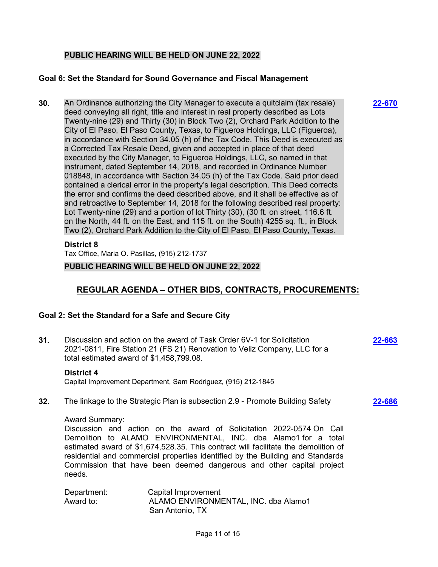# **PUBLIC HEARING WILL BE HELD ON JUNE 22, 2022**

### **Goal 6: Set the Standard for Sound Governance and Fiscal Management**

**30.** An Ordinance authorizing the City Manager to execute a quitclaim (tax resale) deed conveying all right, title and interest in real property described as Lots Twenty-nine (29) and Thirty (30) in Block Two (2), Orchard Park Addition to the City of El Paso, El Paso County, Texas, to Figueroa Holdings, LLC (Figueroa), in accordance with Section 34.05 (h) of the Tax Code. This Deed is executed as a Corrected Tax Resale Deed, given and accepted in place of that deed executed by the City Manager, to Figueroa Holdings, LLC, so named in that instrument, dated September 14, 2018, and recorded in Ordinance Number 018848, in accordance with Section 34.05 (h) of the Tax Code. Said prior deed contained a clerical error in the property's legal description. This Deed corrects the error and confirms the deed described above, and it shall be effective as of and retroactive to September 14, 2018 for the following described real property: Lot Twenty-nine (29) and a portion of lot Thirty (30), (30 ft. on street, 116.6 ft. on the North, 44 ft. on the East, and 115 ft. on the South) 4255 sq. ft., in Block Two (2), Orchard Park Addition to the City of El Paso, El Paso County, Texas.

### **District 8**

Tax Office, Maria O. Pasillas, (915) 212-1737

### **PUBLIC HEARING WILL BE HELD ON JUNE 22, 2022**

# **REGULAR AGENDA – OTHER BIDS, CONTRACTS, PROCUREMENTS:**

# **Goal 2: Set the Standard for a Safe and Secure City**

**31.** Discussion and action on the award of Task Order 6V-1 for Solicitation 2021-0811, Fire Station 21 (FS 21) Renovation to Veliz Company, LLC for a total estimated award of \$1,458,799.08.

### **District 4**

Capital Improvement Department, Sam Rodriguez, (915) 212-1845

**32.** The linkage to the Strategic Plan is subsection 2.9 - Promote Building Safety

#### Award Summary:

Discussion and action on the award of Solicitation 2022-0574 On Call Demolition to ALAMO ENVIRONMENTAL, INC. dba Alamo1 for a total estimated award of \$1,674,528.35. This contract will facilitate the demolition of residential and commercial properties identified by the Building and Standards Commission that have been deemed dangerous and other capital project needs.

| Department: | Capital Improvement                  |
|-------------|--------------------------------------|
| Award to:   | ALAMO ENVIRONMENTAL, INC. dba Alamo1 |
|             | San Antonio, TX                      |

**[22-670](http://elpasotexas.legistar.com/gateway.aspx?m=l&id=/matter.aspx?key=7133)**

**[22-663](http://elpasotexas.legistar.com/gateway.aspx?m=l&id=/matter.aspx?key=7126)**

**[22-686](http://elpasotexas.legistar.com/gateway.aspx?m=l&id=/matter.aspx?key=7149)**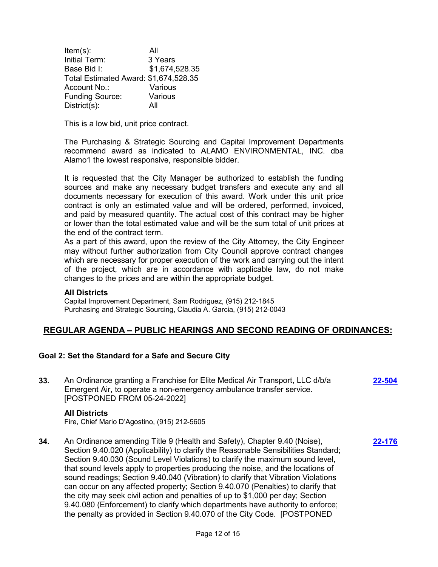Item(s): All Initial Term: 3 Years Base Bid I: \$1,674,528.35 Total Estimated Award: \$1,674,528.35 Account No.: Various Funding Source: Various District(s): All

This is a low bid, unit price contract.

The Purchasing & Strategic Sourcing and Capital Improvement Departments recommend award as indicated to ALAMO ENVIRONMENTAL, INC. dba Alamo1 the lowest responsive, responsible bidder.

It is requested that the City Manager be authorized to establish the funding sources and make any necessary budget transfers and execute any and all documents necessary for execution of this award. Work under this unit price contract is only an estimated value and will be ordered, performed, invoiced, and paid by measured quantity. The actual cost of this contract may be higher or lower than the total estimated value and will be the sum total of unit prices at the end of the contract term.

As a part of this award, upon the review of the City Attorney, the City Engineer may without further authorization from City Council approve contract changes which are necessary for proper execution of the work and carrying out the intent of the project, which are in accordance with applicable law, do not make changes to the prices and are within the appropriate budget.

# **All Districts**

Capital Improvement Department, Sam Rodriguez, (915) 212-1845 Purchasing and Strategic Sourcing, Claudia A. Garcia, (915) 212-0043

# **REGULAR AGENDA – PUBLIC HEARINGS AND SECOND READING OF ORDINANCES:**

# **Goal 2: Set the Standard for a Safe and Secure City**

| 33. | An Ordinance granting a Franchise for Elite Medical Air Transport, LLC d/b/a<br>Emergent Air, to operate a non-emergency ambulance transfer service.<br>[POSTPONED FROM 05-24-2022]                                                             | 22-504 |
|-----|-------------------------------------------------------------------------------------------------------------------------------------------------------------------------------------------------------------------------------------------------|--------|
|     | <b>All Districts</b><br>Fire, Chief Mario D'Agostino, (915) 212-5605                                                                                                                                                                            |        |
| 34. | An Ordinance amending Title 9 (Health and Safety), Chapter 9.40 (Noise),<br>Section 9.40.020 (Applicability) to clarify the Reasonable Sensibilities Standard;<br>Section 9.40.030 (Sound Level Violations) to clarify the maximum sound level, | 22-176 |

that sound levels apply to properties producing the noise, and the locations of sound readings; Section 9.40.040 (Vibration) to clarify that Vibration Violations can occur on any affected property; Section 9.40.070 (Penalties) to clarify that the city may seek civil action and penalties of up to \$1,000 per day; Section 9.40.080 (Enforcement) to clarify which departments have authority to enforce; the penalty as provided in Section 9.40.070 of the City Code. [POSTPONED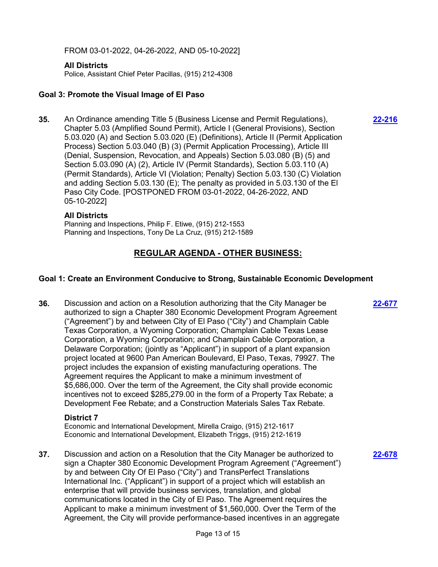FROM 03-01-2022, 04-26-2022, AND 05-10-2022]

### **All Districts**

Police, Assistant Chief Peter Pacillas, (915) 212-4308

# **Goal 3: Promote the Visual Image of El Paso**

**35.** An Ordinance amending Title 5 (Business License and Permit Regulations), Chapter 5.03 (Amplified Sound Permit), Article I (General Provisions), Section 5.03.020 (A) and Section 5.03.020 (E) (Definitions), Article II (Permit Application Process) Section 5.03.040 (B) (3) (Permit Application Processing), Article III (Denial, Suspension, Revocation, and Appeals) Section 5.03.080 (B) (5) and Section 5.03.090 (A) (2), Article IV (Permit Standards), Section 5.03.110 (A) (Permit Standards), Article VI (Violation; Penalty) Section 5.03.130 (C) Violation and adding Section 5.03.130 (E); The penalty as provided in 5.03.130 of the El Paso City Code. [POSTPONED FROM 03-01-2022, 04-26-2022, AND 05-10-2022]

### **All Districts**

Planning and Inspections, Philip F. Etiwe, (915) 212-1553 Planning and Inspections, Tony De La Cruz, (915) 212-1589

# **REGULAR AGENDA - OTHER BUSINESS:**

### **Goal 1: Create an Environment Conducive to Strong, Sustainable Economic Development**

**36.** Discussion and action on a Resolution authorizing that the City Manager be authorized to sign a Chapter 380 Economic Development Program Agreement ("Agreement") by and between City of El Paso ("City") and Champlain Cable Texas Corporation, a Wyoming Corporation; Champlain Cable Texas Lease Corporation, a Wyoming Corporation; and Champlain Cable Corporation, a Delaware Corporation; (jointly as "Applicant") in support of a plant expansion project located at 9600 Pan American Boulevard, El Paso, Texas, 79927. The project includes the expansion of existing manufacturing operations. The Agreement requires the Applicant to make a minimum investment of \$5,686,000. Over the term of the Agreement, the City shall provide economic incentives not to exceed \$285,279.00 in the form of a Property Tax Rebate; a Development Fee Rebate; and a Construction Materials Sales Tax Rebate.

### **District 7**

Economic and International Development, Mirella Craigo, (915) 212-1617 Economic and International Development, Elizabeth Triggs, (915) 212-1619

**37.** Discussion and action on a Resolution that the City Manager be authorized to sign a Chapter 380 Economic Development Program Agreement ("Agreement") by and between City Of El Paso ("City") and TransPerfect Translations International Inc. ("Applicant") in support of a project which will establish an enterprise that will provide business services, translation, and global communications located in the City of El Paso. The Agreement requires the Applicant to make a minimum investment of \$1,560,000. Over the Term of the Agreement, the City will provide performance-based incentives in an aggregate

**[22-216](http://elpasotexas.legistar.com/gateway.aspx?m=l&id=/matter.aspx?key=6680)**

**[22-678](http://elpasotexas.legistar.com/gateway.aspx?m=l&id=/matter.aspx?key=7141)**

**[22-677](http://elpasotexas.legistar.com/gateway.aspx?m=l&id=/matter.aspx?key=7140)**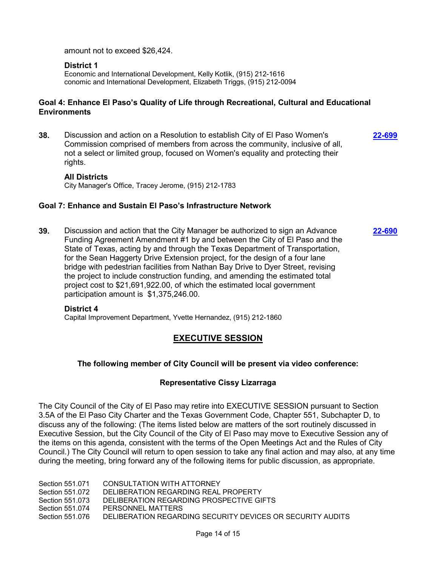amount not to exceed \$26,424.

### **District 1**

Economic and International Development, Kelly Kotlik, (915) 212-1616 conomic and International Development, Elizabeth Triggs, (915) 212-0094

# **Goal 4: Enhance El Paso's Quality of Life through Recreational, Cultural and Educational Environments**

**38.** Discussion and action on a Resolution to establish City of El Paso Women's Commission comprised of members from across the community, inclusive of all, not a select or limited group, focused on Women's equality and protecting their rights. **[22-699](http://elpasotexas.legistar.com/gateway.aspx?m=l&id=/matter.aspx?key=7162)**

### **All Districts**

City Manager's Office, Tracey Jerome, (915) 212-1783

### **Goal 7: Enhance and Sustain El Paso's Infrastructure Network**

**39.** Discussion and action that the City Manager be authorized to sign an Advance Funding Agreement Amendment #1 by and between the City of El Paso and the State of Texas, acting by and through the Texas Department of Transportation, for the Sean Haggerty Drive Extension project, for the design of a four lane bridge with pedestrian facilities from Nathan Bay Drive to Dyer Street, revising the project to include construction funding, and amending the estimated total project cost to \$21,691,922.00, of which the estimated local government participation amount is \$1,375,246.00. **[22-690](http://elpasotexas.legistar.com/gateway.aspx?m=l&id=/matter.aspx?key=7153)**

#### **District 4**

Capital Improvement Department, Yvette Hernandez, (915) 212-1860

# **EXECUTIVE SESSION**

# **The following member of City Council will be present via video conference:**

### **Representative Cissy Lizarraga**

The City Council of the City of El Paso may retire into EXECUTIVE SESSION pursuant to Section 3.5A of the El Paso City Charter and the Texas Government Code, Chapter 551, Subchapter D, to discuss any of the following: (The items listed below are matters of the sort routinely discussed in Executive Session, but the City Council of the City of El Paso may move to Executive Session any of the items on this agenda, consistent with the terms of the Open Meetings Act and the Rules of City Council.) The City Council will return to open session to take any final action and may also, at any time during the meeting, bring forward any of the following items for public discussion, as appropriate.

Section 551.071 CONSULTATION WITH ATTORNEY Section 551.072 DELIBERATION REGARDING REAL PROPERTY Section 551.073 DELIBERATION REGARDING PROSPECTIVE GIFTS Section 551.074 PERSONNEL MATTERS Section 551.076 DELIBERATION REGARDING SECURITY DEVICES OR SECURITY AUDITS